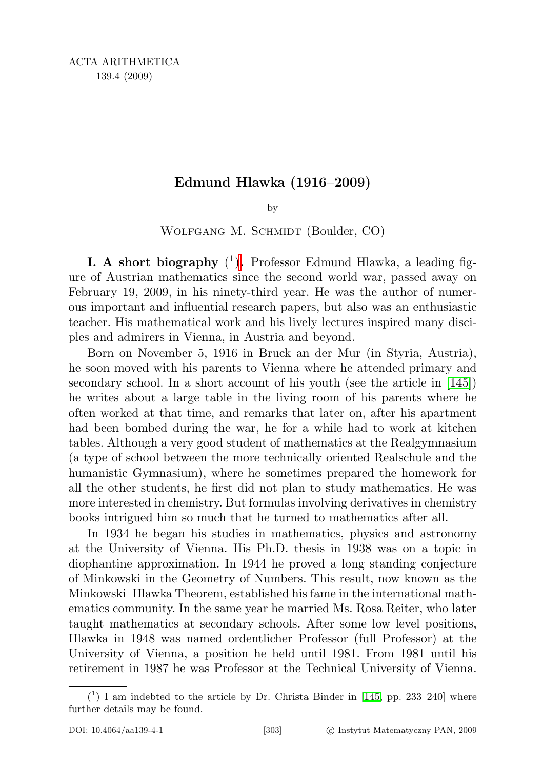## Edmund Hlawka (1916–2009)

by

WOLFGANG M. SCHMIDT (Boulder, CO)

**I[.](#page-0-0)** A short biography  $(1)$ . Professor Edmund Hlawka, a leading figure of Austrian mathematics since the second world war, passed away on February 19, 2009, in his ninety-third year. He was the author of numerous important and influential research papers, but also was an enthusiastic teacher. His mathematical work and his lively lectures inspired many disciples and admirers in Vienna, in Austria and beyond.

Born on November 5, 1916 in Bruck an der Mur (in Styria, Austria), he soon moved with his parents to Vienna where he attended primary and secondary school. In a short account of his youth (see the article in [\[145\]](#page-16-0)) he writes about a large table in the living room of his parents where he often worked at that time, and remarks that later on, after his apartment had been bombed during the war, he for a while had to work at kitchen tables. Although a very good student of mathematics at the Realgymnasium (a type of school between the more technically oriented Realschule and the humanistic Gymnasium), where he sometimes prepared the homework for all the other students, he first did not plan to study mathematics. He was more interested in chemistry. But formulas involving derivatives in chemistry books intrigued him so much that he turned to mathematics after all.

In 1934 he began his studies in mathematics, physics and astronomy at the University of Vienna. His Ph.D. thesis in 1938 was on a topic in diophantine approximation. In 1944 he proved a long standing conjecture of Minkowski in the Geometry of Numbers. This result, now known as the Minkowski–Hlawka Theorem, established his fame in the international mathematics community. In the same year he married Ms. Rosa Reiter, who later taught mathematics at secondary schools. After some low level positions, Hlawka in 1948 was named ordentlicher Professor (full Professor) at the University of Vienna, a position he held until 1981. From 1981 until his retirement in 1987 he was Professor at the Technical University of Vienna.

<span id="page-0-0"></span> $(1)$  I am indebted to the article by Dr. Christa Binder in [\[145,](#page-16-0) pp. 233-240] where further details may be found.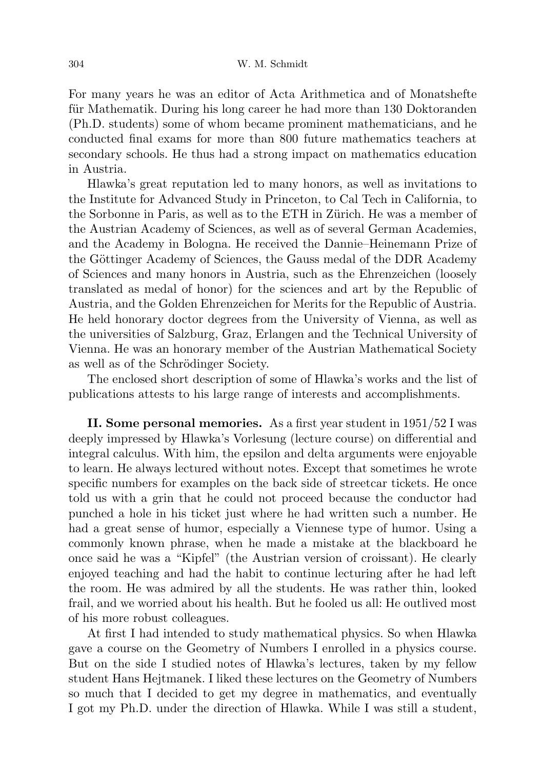For many years he was an editor of Acta Arithmetica and of Monatshefte für Mathematik. During his long career he had more than 130 Doktoranden (Ph.D. students) some of whom became prominent mathematicians, and he conducted final exams for more than 800 future mathematics teachers at secondary schools. He thus had a strong impact on mathematics education in Austria.

Hlawka's great reputation led to many honors, as well as invitations to the Institute for Advanced Study in Princeton, to Cal Tech in California, to the Sorbonne in Paris, as well as to the ETH in Zürich. He was a member of the Austrian Academy of Sciences, as well as of several German Academies, and the Academy in Bologna. He received the Dannie–Heinemann Prize of the Göttinger Academy of Sciences, the Gauss medal of the DDR Academy of Sciences and many honors in Austria, such as the Ehrenzeichen (loosely translated as medal of honor) for the sciences and art by the Republic of Austria, and the Golden Ehrenzeichen for Merits for the Republic of Austria. He held honorary doctor degrees from the University of Vienna, as well as the universities of Salzburg, Graz, Erlangen and the Technical University of Vienna. He was an honorary member of the Austrian Mathematical Society as well as of the Schrödinger Society.

The enclosed short description of some of Hlawka's works and the list of publications attests to his large range of interests and accomplishments.

II. Some personal memories. As a first year student in 1951/52 I was deeply impressed by Hlawka's Vorlesung (lecture course) on differential and integral calculus. With him, the epsilon and delta arguments were enjoyable to learn. He always lectured without notes. Except that sometimes he wrote specific numbers for examples on the back side of streetcar tickets. He once told us with a grin that he could not proceed because the conductor had punched a hole in his ticket just where he had written such a number. He had a great sense of humor, especially a Viennese type of humor. Using a commonly known phrase, when he made a mistake at the blackboard he once said he was a "Kipfel" (the Austrian version of croissant). He clearly enjoyed teaching and had the habit to continue lecturing after he had left the room. He was admired by all the students. He was rather thin, looked frail, and we worried about his health. But he fooled us all: He outlived most of his more robust colleagues.

At first I had intended to study mathematical physics. So when Hlawka gave a course on the Geometry of Numbers I enrolled in a physics course. But on the side I studied notes of Hlawka's lectures, taken by my fellow student Hans Hejtmanek. I liked these lectures on the Geometry of Numbers so much that I decided to get my degree in mathematics, and eventually I got my Ph.D. under the direction of Hlawka. While I was still a student,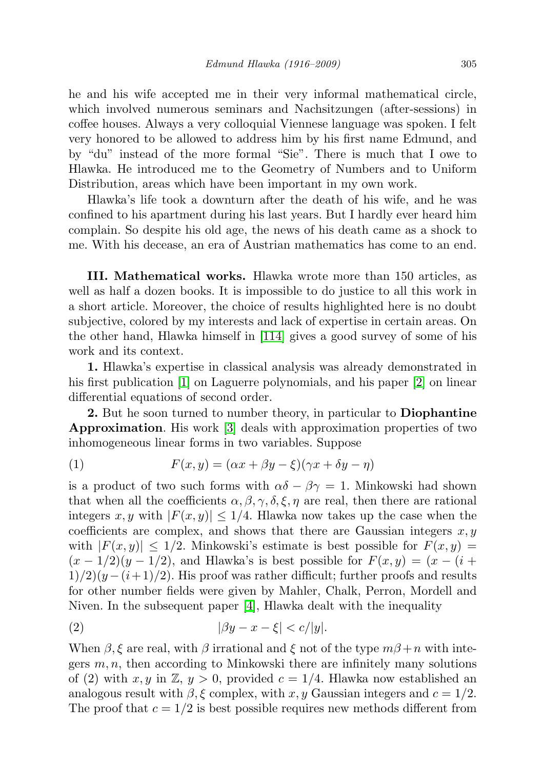he and his wife accepted me in their very informal mathematical circle, which involved numerous seminars and Nachsitzungen (after-sessions) in coffee houses. Always a very colloquial Viennese language was spoken. I felt very honored to be allowed to address him by his first name Edmund, and by "du" instead of the more formal "Sie". There is much that I owe to Hlawka. He introduced me to the Geometry of Numbers and to Uniform Distribution, areas which have been important in my own work.

Hlawka's life took a downturn after the death of his wife, and he was confined to his apartment during his last years. But I hardly ever heard him complain. So despite his old age, the news of his death came as a shock to me. With his decease, an era of Austrian mathematics has come to an end.

III. Mathematical works. Hlawka wrote more than 150 articles, as well as half a dozen books. It is impossible to do justice to all this work in a short article. Moreover, the choice of results highlighted here is no doubt subjective, colored by my interests and lack of expertise in certain areas. On the other hand, Hlawka himself in [\[114\]](#page-15-0) gives a good survey of some of his work and its context.

1. Hlawka's expertise in classical analysis was already demonstrated in his first publication [\[1\]](#page-10-0) on Laguerre polynomials, and his paper [\[2\]](#page-10-1) on linear differential equations of second order.

2. But he soon turned to number theory, in particular to **Diophantine** Approximation. His work [\[3\]](#page-10-2) deals with approximation properties of two inhomogeneous linear forms in two variables. Suppose

(1) 
$$
F(x,y) = (\alpha x + \beta y - \xi)(\gamma x + \delta y - \eta)
$$

is a product of two such forms with  $\alpha\delta - \beta\gamma = 1$ . Minkowski had shown that when all the coefficients  $\alpha, \beta, \gamma, \delta, \xi, \eta$  are real, then there are rational integers x, y with  $|F(x, y)| \leq 1/4$ . Hlawka now takes up the case when the coefficients are complex, and shows that there are Gaussian integers  $x, y$ with  $|F(x, y)| \leq 1/2$ . Minkowski's estimate is best possible for  $F(x, y) =$  $(x - 1/2)(y - 1/2)$ , and Hlawka's is best possible for  $F(x, y) = (x - (i +$  $1/2(y-(i+1)/2)$ . His proof was rather difficult; further proofs and results for other number fields were given by Mahler, Chalk, Perron, Mordell and Niven. In the subsequent paper [\[4\]](#page-10-3), Hlawka dealt with the inequality

$$
(2) \qquad \qquad |\beta y - x - \xi| < c/|y|.
$$

When  $\beta$ ,  $\xi$  are real, with  $\beta$  irrational and  $\xi$  not of the type  $m\beta+n$  with integers  $m, n$ , then according to Minkowski there are infinitely many solutions of (2) with x, y in  $\mathbb{Z}, y > 0$ , provided  $c = 1/4$ . Hlawka now established an analogous result with  $\beta$ , ξ complex, with x, y Gaussian integers and  $c = 1/2$ . The proof that  $c = 1/2$  is best possible requires new methods different from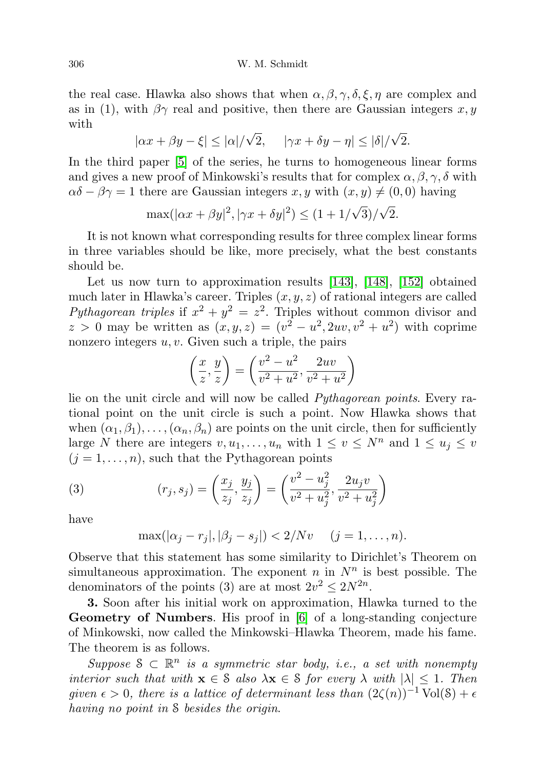the real case. Hlawka also shows that when  $\alpha, \beta, \gamma, \delta, \xi, \eta$  are complex and as in (1), with  $\beta\gamma$  real and positive, then there are Gaussian integers x, y with √ √

$$
|\alpha x + \beta y - \xi| \le |\alpha|/\sqrt{2}, \quad |\gamma x + \delta y - \eta| \le |\delta|/\sqrt{2}.
$$

In the third paper [\[5\]](#page-10-4) of the series, he turns to homogeneous linear forms and gives a new proof of Minkowski's results that for complex  $\alpha, \beta, \gamma, \delta$  with  $\alpha\delta - \beta\gamma = 1$  there are Gaussian integers x, y with  $(x, y) \neq (0, 0)$  having

$$
\max(|\alpha x + \beta y|^2, |\gamma x + \delta y|^2) \le (1 + 1/\sqrt{3})/\sqrt{2}.
$$

It is not known what corresponding results for three complex linear forms in three variables should be like, more precisely, what the best constants should be.

Let us now turn to approximation results [\[143\]](#page-16-1), [\[148\]](#page-16-2), [\[152\]](#page-17-0) obtained much later in Hlawka's career. Triples  $(x, y, z)$  of rational integers are called Pythagorean triples if  $x^2 + y^2 = z^2$ . Triples without common divisor and  $z > 0$  may be written as  $(x, y, z) = (v^2 - u^2, 2uv, v^2 + u^2)$  with coprime nonzero integers  $u, v$ . Given such a triple, the pairs

$$
\left(\frac{x}{z}, \frac{y}{z}\right) = \left(\frac{v^2 - u^2}{v^2 + u^2}, \frac{2uv}{v^2 + u^2}\right)
$$

lie on the unit circle and will now be called Pythagorean points. Every rational point on the unit circle is such a point. Now Hlawka shows that when  $(\alpha_1, \beta_1), \ldots, (\alpha_n, \beta_n)$  are points on the unit circle, then for sufficiently large N there are integers  $v, u_1, \ldots, u_n$  with  $1 \le v \le N^n$  and  $1 \le u_j \le v$  $(j = 1, \ldots, n)$ , such that the Pythagorean points

(3) 
$$
(r_j, s_j) = \left(\frac{x_j}{z_j}, \frac{y_j}{z_j}\right) = \left(\frac{v^2 - u_j^2}{v^2 + u_j^2}, \frac{2u_jv}{v^2 + u_j^2}\right)
$$

have

$$
\max(|\alpha_j - r_j|, |\beta_j - s_j|) < 2/Nv
$$
  $(j = 1, ..., n).$ 

Observe that this statement has some similarity to Dirichlet's Theorem on simultaneous approximation. The exponent  $n$  in  $N^n$  is best possible. The denominators of the points (3) are at most  $2v^2 \leq 2N^{2n}$ .

3. Soon after his initial work on approximation, Hlawka turned to the Geometry of Numbers. His proof in [\[6\]](#page-10-5) of a long-standing conjecture of Minkowski, now called the Minkowski–Hlawka Theorem, made his fame. The theorem is as follows.

Suppose  $S \subset \mathbb{R}^n$  is a symmetric star body, i.e., a set with nonempty interior such that with  $\mathbf{x} \in \mathcal{S}$  also  $\lambda \mathbf{x} \in \mathcal{S}$  for every  $\lambda$  with  $|\lambda| \leq 1$ . Then given  $\epsilon > 0$ , there is a lattice of determinant less than  $(2\zeta(n))^{-1}$  Vol $(8) + \epsilon$ having no point in S besides the origin.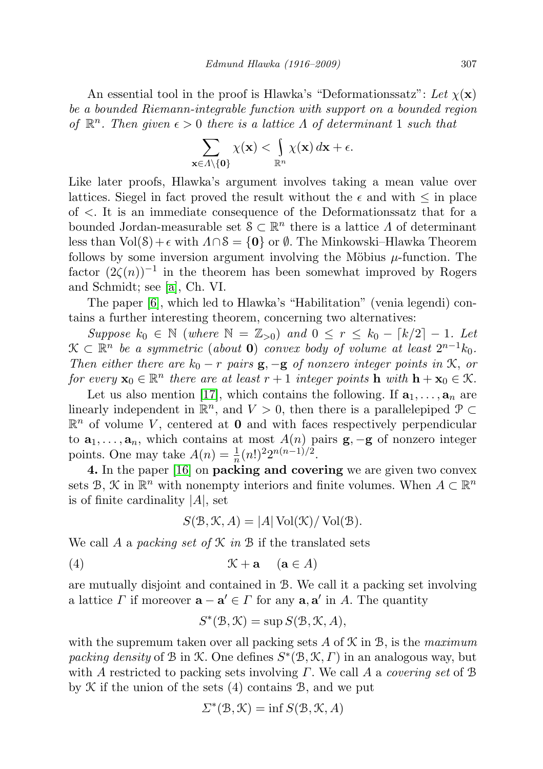An essential tool in the proof is Hlawka's "Deformationssatz": Let  $\chi(\mathbf{x})$ be a bounded Riemann-integrable function with support on a bounded region of  $\mathbb{R}^n$ . Then given  $\epsilon > 0$  there is a lattice  $\Lambda$  of determinant 1 such that

$$
\sum_{\mathbf{x}\in\Lambda\setminus\{\mathbf{0}\}}\chi(\mathbf{x})<\int_{\mathbb{R}^n}\chi(\mathbf{x})\,d\mathbf{x}+\epsilon.
$$

Like later proofs, Hlawka's argument involves taking a mean value over lattices. Siegel in fact proved the result without the  $\epsilon$  and with  $\leq$  in place of <. It is an immediate consequence of the Deformationssatz that for a bounded Jordan-measurable set  $S \subset \mathbb{R}^n$  there is a lattice  $\Lambda$  of determinant less than  $Vol(\mathcal{S})+\epsilon$  with  $\Lambda \cap \mathcal{S} = \{0\}$  or  $\emptyset$ . The Minkowski–Hlawka Theorem follows by some inversion argument involving the Möbius  $\mu$ -function. The factor  $(2\zeta(n))^{-1}$  in the theorem has been somewhat improved by Rogers and Schmidt; see [\[a\]](#page-10-6), Ch. VI.

The paper [\[6\]](#page-10-5), which led to Hlawka's "Habilitation" (venia legendi) contains a further interesting theorem, concerning two alternatives:

Suppose  $k_0 \in \mathbb{N}$  (where  $\mathbb{N} = \mathbb{Z}_{>0}$ ) and  $0 \le r \le k_0 - \lceil k/2 \rceil - 1$ . Let  $\mathfrak{X} \subset \mathbb{R}^n$  be a symmetric (about 0) convex body of volume at least  $2^{n-1}k_0$ . Then either there are  $k_0 - r$  pairs  $\mathbf{g}, -\mathbf{g}$  of nonzero integer points in  $\mathcal{K}$ , or for every  $\mathbf{x}_0 \in \mathbb{R}^n$  there are at least  $r + 1$  integer points  $\mathbf{h}$  with  $\mathbf{h} + \mathbf{x}_0 \in \mathcal{K}$ .

Let us also mention [\[17\]](#page-11-0), which contains the following. If  $a_1, \ldots, a_n$  are linearly independent in  $\mathbb{R}^n$ , and  $V > 0$ , then there is a parallelepiped  $\mathcal{P} \subset$  $\mathbb{R}^n$  of volume V, centered at 0 and with faces respectively perpendicular to  $a_1, \ldots, a_n$ , which contains at most  $A(n)$  pairs  $\mathbf{g}, -\mathbf{g}$  of nonzero integer points. One may take  $A(n) = \frac{1}{n}(n!)^2 2^{n(n-1)/2}$ .

4. In the paper [\[16\]](#page-11-1) on packing and covering we are given two convex sets B,  $\mathcal{K}$  in  $\mathbb{R}^n$  with nonempty interiors and finite volumes. When  $A \subset \mathbb{R}^n$ is of finite cardinality  $|A|$ , set

$$
S(\mathcal{B}, \mathcal{K}, A) = |A| \operatorname{Vol}(\mathcal{K}) / \operatorname{Vol}(\mathcal{B}).
$$

We call A a packing set of  $\mathcal K$  in  $\mathcal B$  if the translated sets

(4) K + a (a ∈ A)

are mutually disjoint and contained in B. We call it a packing set involving a lattice  $\Gamma$  if moreover  $\mathbf{a} - \mathbf{a}' \in \Gamma$  for any  $\mathbf{a}, \mathbf{a}'$  in A. The quantity

$$
S^*(\mathcal{B}, \mathcal{K}) = \sup S(\mathcal{B}, \mathcal{K}, A),
$$

with the supremum taken over all packing sets A of  $\mathcal K$  in  $\mathcal B$ , is the maximum packing density of B in K. One defines  $S^*(B, K, \Gamma)$  in an analogous way, but with A restricted to packing sets involving  $\Gamma$ . We call A a *covering set* of B by  $K$  if the union of the sets  $(4)$  contains  $B$ , and we put

$$
\Sigma^*(\mathfrak{B}, \mathfrak{K}) = \inf S(\mathfrak{B}, \mathfrak{K}, A)
$$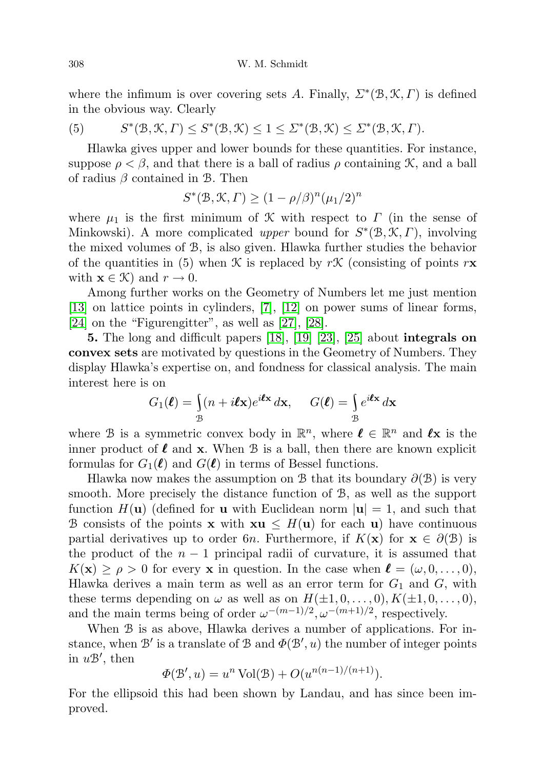where the infimum is over covering sets A. Finally,  $\Sigma^*(\mathfrak{B}, \mathfrak{K}, \Gamma)$  is defined in the obvious way. Clearly

(5) 
$$
S^*(\mathcal{B}, \mathcal{K}, \Gamma) \leq S^*(\mathcal{B}, \mathcal{K}) \leq 1 \leq \Sigma^*(\mathcal{B}, \mathcal{K}) \leq \Sigma^*(\mathcal{B}, \mathcal{K}, \Gamma).
$$

Hlawka gives upper and lower bounds for these quantities. For instance, suppose  $\rho < \beta$ , and that there is a ball of radius  $\rho$  containing X, and a ball of radius  $\beta$  contained in B. Then

$$
S^*(\mathcal{B}, \mathcal{K}, \Gamma) \ge (1 - \rho/\beta)^n (\mu_1/2)^n
$$

where  $\mu_1$  is the first minimum of K with respect to  $\Gamma$  (in the sense of Minkowski). A more complicated upper bound for  $S^*(\mathcal{B}, \mathcal{K}, \Gamma)$ , involving the mixed volumes of B, is also given. Hlawka further studies the behavior of the quantities in (5) when K is replaced by rK (consisting of points  $r\mathbf{x}$ with  $\mathbf{x} \in \mathcal{K}$  and  $r \to 0$ .

Among further works on the Geometry of Numbers let me just mention [\[13\]](#page-11-2) on lattice points in cylinders, [\[7\]](#page-10-7), [\[12\]](#page-11-3) on power sums of linear forms, [\[24\]](#page-11-4) on the "Figurengitter", as well as [\[27\]](#page-11-5), [\[28\]](#page-11-6).

5. The long and difficult papers [\[18\]](#page-11-7), [\[19\]](#page-11-8) [\[23\]](#page-11-9), [\[25\]](#page-11-10) about integrals on convex sets are motivated by questions in the Geometry of Numbers. They display Hlawka's expertise on, and fondness for classical analysis. The main interest here is on

$$
G_1(\boldsymbol{\ell}) = \int_{\mathcal{B}} (n + i\boldsymbol{\ell} \mathbf{x}) e^{i\boldsymbol{\ell} \mathbf{x}} d\mathbf{x}, \quad G(\boldsymbol{\ell}) = \int_{\mathcal{B}} e^{i\boldsymbol{\ell} \mathbf{x}} d\mathbf{x}
$$

where B is a symmetric convex body in  $\mathbb{R}^n$ , where  $\ell \in \mathbb{R}^n$  and  $\ell$ **x** is the inner product of  $\ell$  and x. When  $\mathcal B$  is a ball, then there are known explicit formulas for  $G_1(\ell)$  and  $G(\ell)$  in terms of Bessel functions.

Hlawka now makes the assumption on B that its boundary  $\partial(\mathcal{B})$  is very smooth. More precisely the distance function of B, as well as the support function  $H(\mathbf{u})$  (defined for **u** with Euclidean norm  $|\mathbf{u}| = 1$ , and such that B consists of the points **x** with  $xu \leq H(u)$  for each u) have continuous partial derivatives up to order 6n. Furthermore, if  $K(\mathbf{x})$  for  $\mathbf{x} \in \partial(\mathcal{B})$  is the product of the  $n-1$  principal radii of curvature, it is assumed that  $K(\mathbf{x}) \geq \rho > 0$  for every **x** in question. In the case when  $\mathbf{\ell} = (\omega, 0, \dots, 0),$ Hlawka derives a main term as well as an error term for  $G_1$  and  $G$ , with these terms depending on  $\omega$  as well as on  $H(\pm 1, 0, \ldots, 0), K(\pm 1, 0, \ldots, 0),$ and the main terms being of order  $\omega^{-(m-1)/2}, \omega^{-(m+1)/2}$ , respectively.

When B is as above, Hlawka derives a number of applications. For instance, when  $\mathcal{B}'$  is a translate of  $\mathcal{B}$  and  $\Phi(\mathcal{B}', u)$  the number of integer points in  $u\mathcal{B}'$ , then

$$
\Phi(\mathcal{B}', u) = u^n \operatorname{Vol}(\mathcal{B}) + O(u^{n(n-1)/(n+1)}).
$$

For the ellipsoid this had been shown by Landau, and has since been improved.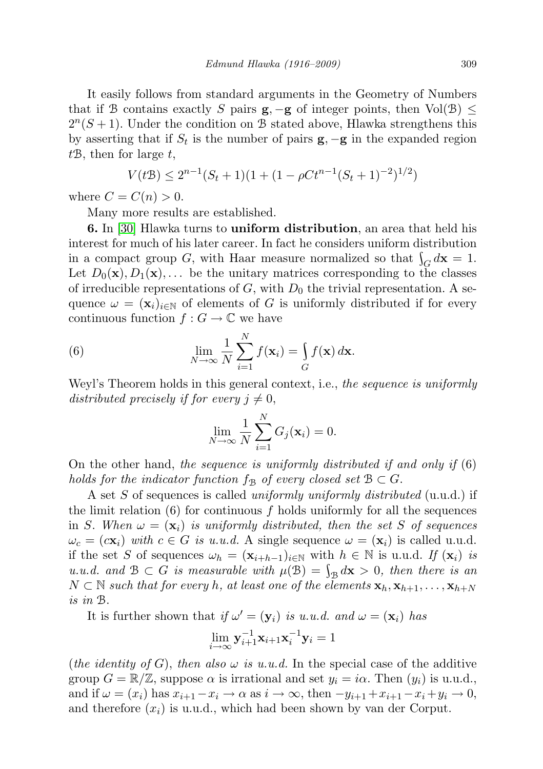It easily follows from standard arguments in the Geometry of Numbers that if B contains exactly S pairs  $g, -g$  of integer points, then Vol(B)  $\leq$  $2^{n}(S+1)$ . Under the condition on B stated above, Hlawka strengthens this by asserting that if  $S_t$  is the number of pairs  $\mathbf{g}, -\mathbf{g}$  in the expanded region  $t\mathcal{B}$ , then for large  $t$ ,

$$
V(tB) \le 2^{n-1}(S_t + 1)(1 + (1 - \rho Ct^{n-1}(S_t + 1)^{-2})^{1/2})
$$

where  $C = C(n) > 0$ .

Many more results are established.

6. In [\[30\]](#page-11-11) Hlawka turns to uniform distribution, an area that held his interest for much of his later career. In fact he considers uniform distribution in a compact group G, with Haar measure normalized so that  $\int_G d\mathbf{x} = 1$ . Let  $D_0(\mathbf{x}), D_1(\mathbf{x}), \ldots$  be the unitary matrices corresponding to the classes of irreducible representations of  $G$ , with  $D_0$  the trivial representation. A sequence  $\omega = (\mathbf{x}_i)_{i \in \mathbb{N}}$  of elements of G is uniformly distributed if for every continuous function  $f: G \to \mathbb{C}$  we have

(6) 
$$
\lim_{N \to \infty} \frac{1}{N} \sum_{i=1}^{N} f(\mathbf{x}_i) = \int_{G} f(\mathbf{x}) d\mathbf{x}.
$$

Weyl's Theorem holds in this general context, i.e., the sequence is uniformly distributed precisely if for every  $j \neq 0$ ,

$$
\lim_{N \to \infty} \frac{1}{N} \sum_{i=1}^{N} G_j(\mathbf{x}_i) = 0.
$$

On the other hand, the sequence is uniformly distributed if and only if  $(6)$ holds for the indicator function  $f_{\mathcal{B}}$  of every closed set  $\mathcal{B} \subset G$ .

A set S of sequences is called uniformly uniformly distributed (u.u.d.) if the limit relation  $(6)$  for continuous f holds uniformly for all the sequences in S. When  $\omega = (\mathbf{x}_i)$  is uniformly distributed, then the set S of sequences  $\omega_c = (c\mathbf{x}_i)$  with  $c \in G$  is u.u.d. A single sequence  $\omega = (\mathbf{x}_i)$  is called u.u.d. if the set S of sequences  $\omega_h = (\mathbf{x}_{i+h-1})_{i \in \mathbb{N}}$  with  $h \in \mathbb{N}$  is u.u.d. If  $(\mathbf{x}_i)$  is u.u.d. and  $\mathcal{B} \subset G$  is measurable with  $\mu(\mathcal{B}) = \int_{\mathcal{B}} d\mathbf{x} > 0$ , then there is an  $N \subset \mathbb{N}$  such that for every h, at least one of the elements  $\mathbf{x}_h, \mathbf{x}_{h+1}, \ldots, \mathbf{x}_{h+N}$ is in B.

It is further shown that  $if \omega' = (\mathbf{y}_i)$  is u.u.d. and  $\omega = (\mathbf{x}_i)$  has

$$
\lim_{i \to \infty} \mathbf{y}_{i+1}^{-1} \mathbf{x}_{i+1} \mathbf{x}_i^{-1} \mathbf{y}_i = 1
$$

(the identity of G), then also  $\omega$  is u.u.d. In the special case of the additive group  $G = \mathbb{R}/\mathbb{Z}$ , suppose  $\alpha$  is irrational and set  $y_i = i\alpha$ . Then  $(y_i)$  is u.u.d., and if  $\omega = (x_i)$  has  $x_{i+1}-x_i \to \alpha$  as  $i \to \infty$ , then  $-y_{i+1}+x_{i+1}-x_i+y_i \to 0$ , and therefore  $(x_i)$  is u.u.d., which had been shown by van der Corput.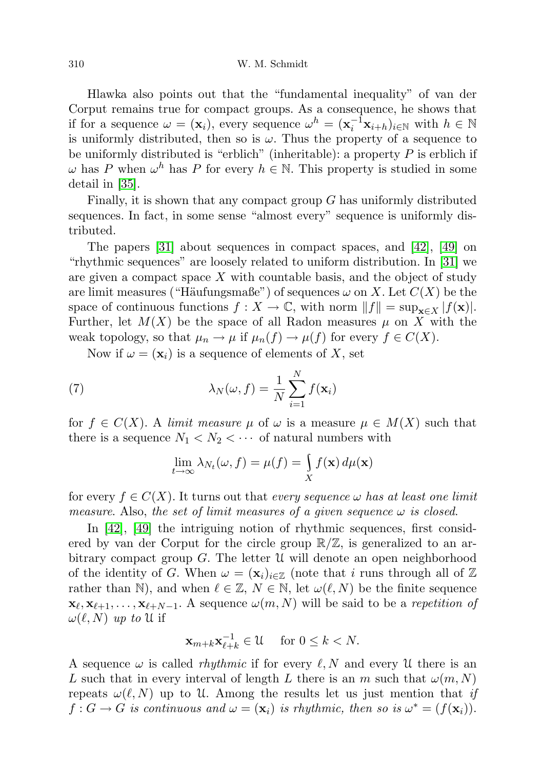Hlawka also points out that the "fundamental inequality" of van der Corput remains true for compact groups. As a consequence, he shows that if for a sequence  $\omega = (\mathbf{x}_i)$ , every sequence  $\omega^h = (\mathbf{x}_i^{-1}\mathbf{x}_{i+h})_{i \in \mathbb{N}}$  with  $h \in \mathbb{N}$ is uniformly distributed, then so is  $\omega$ . Thus the property of a sequence to be uniformly distributed is "erblich" (inheritable): a property  $P$  is erblich if  $\omega$  has P when  $\omega^h$  has P for every  $h \in \mathbb{N}$ . This property is studied in some detail in [\[35\]](#page-11-12).

Finally, it is shown that any compact group  $G$  has uniformly distributed sequences. In fact, in some sense "almost every" sequence is uniformly distributed.

The papers [\[31\]](#page-11-13) about sequences in compact spaces, and [\[42\]](#page-12-0), [\[49\]](#page-12-1) on "rhythmic sequences" are loosely related to uniform distribution. In [\[31\]](#page-11-13) we are given a compact space  $X$  with countable basis, and the object of study are limit measures ("Häufungsmaße") of sequences  $\omega$  on X. Let  $C(X)$  be the space of continuous functions  $f : X \to \mathbb{C}$ , with norm  $||f|| = \sup_{\mathbf{x} \in X} |f(\mathbf{x})|$ . Further, let  $M(X)$  be the space of all Radon measures  $\mu$  on X with the weak topology, so that  $\mu_n \to \mu$  if  $\mu_n(f) \to \mu(f)$  for every  $f \in C(X)$ .

Now if  $\omega = (\mathbf{x}_i)$  is a sequence of elements of X, set

(7) 
$$
\lambda_N(\omega, f) = \frac{1}{N} \sum_{i=1}^N f(\mathbf{x}_i)
$$

for  $f \in C(X)$ . A limit measure  $\mu$  of  $\omega$  is a measure  $\mu \in M(X)$  such that there is a sequence  $N_1 < N_2 < \cdots$  of natural numbers with

$$
\lim_{t \to \infty} \lambda_{N_t}(\omega, f) = \mu(f) = \int_X f(\mathbf{x}) \, d\mu(\mathbf{x})
$$

for every  $f \in C(X)$ . It turns out that every sequence  $\omega$  has at least one limit measure. Also, the set of limit measures of a given sequence  $\omega$  is closed.

In [\[42\]](#page-12-0), [\[49\]](#page-12-1) the intriguing notion of rhythmic sequences, first considered by van der Corput for the circle group  $\mathbb{R}/\mathbb{Z}$ , is generalized to an arbitrary compact group  $G$ . The letter  $\mathfrak U$  will denote an open neighborhood of the identity of G. When  $\omega = (\mathbf{x}_i)_{i \in \mathbb{Z}}$  (note that i runs through all of  $\mathbb{Z}$ ) rather than N), and when  $\ell \in \mathbb{Z}, N \in \mathbb{N}$ , let  $\omega(\ell, N)$  be the finite sequence  $\mathbf{x}_{\ell}, \mathbf{x}_{\ell+1}, \ldots, \mathbf{x}_{\ell+N-1}$ . A sequence  $\omega(m, N)$  will be said to be a repetition of  $\omega(\ell, N)$  up to U if

$$
\mathbf{x}_{m+k}\mathbf{x}_{\ell+k}^{-1} \in \mathcal{U} \quad \text{ for } 0 \le k < N.
$$

A sequence  $\omega$  is called *rhythmic* if for every  $\ell, N$  and every U there is an L such that in every interval of length L there is an m such that  $\omega(m, N)$ repeats  $\omega(\ell, N)$  up to U. Among the results let us just mention that if  $f: G \to G$  is continuous and  $\omega = (\mathbf{x}_i)$  is rhythmic, then so is  $\omega^* = (f(\mathbf{x}_i))$ .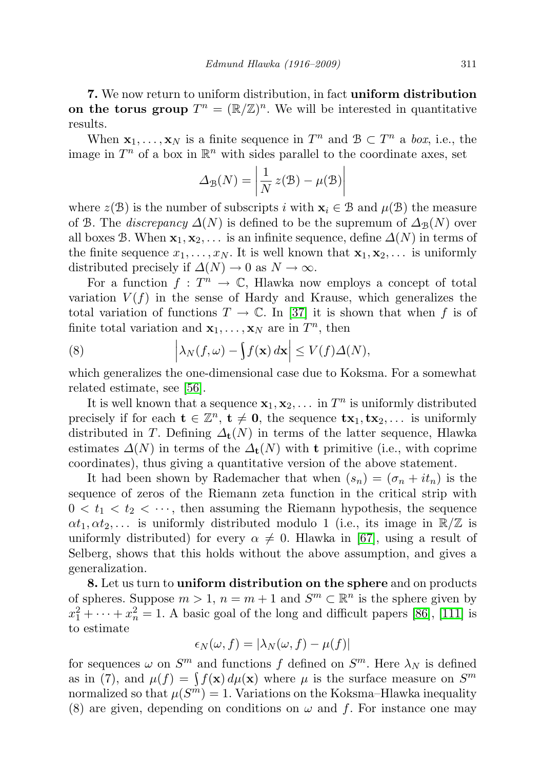7. We now return to uniform distribution, in fact uniform distribution on the torus group  $T^n = (\mathbb{R}/\mathbb{Z})^n$ . We will be interested in quantitative results.

When  $\mathbf{x}_1, \ldots, \mathbf{x}_N$  is a finite sequence in  $T^n$  and  $\mathcal{B} \subset T^n$  a *box*, i.e., the image in  $T^n$  of a box in  $\mathbb{R}^n$  with sides parallel to the coordinate axes, set

$$
\Delta_{\mathcal{B}}(N) = \left| \frac{1}{N} z(\mathcal{B}) - \mu(\mathcal{B}) \right|
$$

where  $z(\mathcal{B})$  is the number of subscripts i with  $\mathbf{x}_i \in \mathcal{B}$  and  $\mu(\mathcal{B})$  the measure of B. The *discrepancy*  $\Delta(N)$  is defined to be the supremum of  $\Delta_{\mathcal{B}}(N)$  over all boxes B. When  $\mathbf{x}_1, \mathbf{x}_2, \ldots$  is an infinite sequence, define  $\Delta(N)$  in terms of the finite sequence  $x_1, \ldots, x_N$ . It is well known that  $x_1, x_2, \ldots$  is uniformly distributed precisely if  $\Delta(N) \to 0$  as  $N \to \infty$ .

For a function  $f: T^n \to \mathbb{C}$ , Hlawka now employs a concept of total variation  $V(f)$  in the sense of Hardy and Krause, which generalizes the total variation of functions  $T \to \mathbb{C}$ . In [\[37\]](#page-12-2) it is shown that when f is of finite total variation and  $\mathbf{x}_1, \ldots, \mathbf{x}_N$  are in  $T^n$ , then

(8) 
$$
\left|\lambda_N(f,\omega)-\int f(\mathbf{x}) d\mathbf{x}\right| \leq V(f)\Delta(N),
$$

which generalizes the one-dimensional case due to Koksma. For a somewhat related estimate, see [\[56\]](#page-12-3).

It is well known that a sequence  $\mathbf{x}_1, \mathbf{x}_2, \ldots$  in  $T^n$  is uniformly distributed precisely if for each  $\mathbf{t} \in \mathbb{Z}^n$ ,  $\mathbf{t} \neq \mathbf{0}$ , the sequence  $\mathbf{tx}_1, \mathbf{tx}_2, \dots$  is uniformly distributed in T. Defining  $\Delta_t(N)$  in terms of the latter sequence, Hlawka estimates  $\Delta(N)$  in terms of the  $\Delta_t(N)$  with t primitive (i.e., with coprime coordinates), thus giving a quantitative version of the above statement.

It had been shown by Rademacher that when  $(s_n) = (\sigma_n + it_n)$  is the sequence of zeros of the Riemann zeta function in the critical strip with  $0 < t_1 < t_2 < \cdots$ , then assuming the Riemann hypothesis, the sequence  $\alpha t_1, \alpha t_2, \ldots$  is uniformly distributed modulo 1 (i.e., its image in  $\mathbb{R}/\mathbb{Z}$  is uniformly distributed) for every  $\alpha \neq 0$ . Hlawka in [\[67\]](#page-13-0), using a result of Selberg, shows that this holds without the above assumption, and gives a generalization.

8. Let us turn to uniform distribution on the sphere and on products of spheres. Suppose  $m > 1$ ,  $n = m + 1$  and  $S^m \subset \mathbb{R}^n$  is the sphere given by  $x_1^2 + \cdots + x_n^2 = 1$ . A basic goal of the long and difficult papers [\[86\]](#page-14-0), [\[111\]](#page-15-1) is to estimate

$$
\epsilon_N(\omega, f) = |\lambda_N(\omega, f) - \mu(f)|
$$

for sequences  $\omega$  on  $S^m$  and functions f defined on  $S^m$ . Here  $\lambda_N$  is defined as in (7), and  $\mu(f) = \int f(\mathbf{x}) d\mu(\mathbf{x})$  where  $\mu$  is the surface measure on  $S^m$ normalized so that  $\mu(S^m) = 1$ . Variations on the Koksma–Hlawka inequality (8) are given, depending on conditions on  $\omega$  and f. For instance one may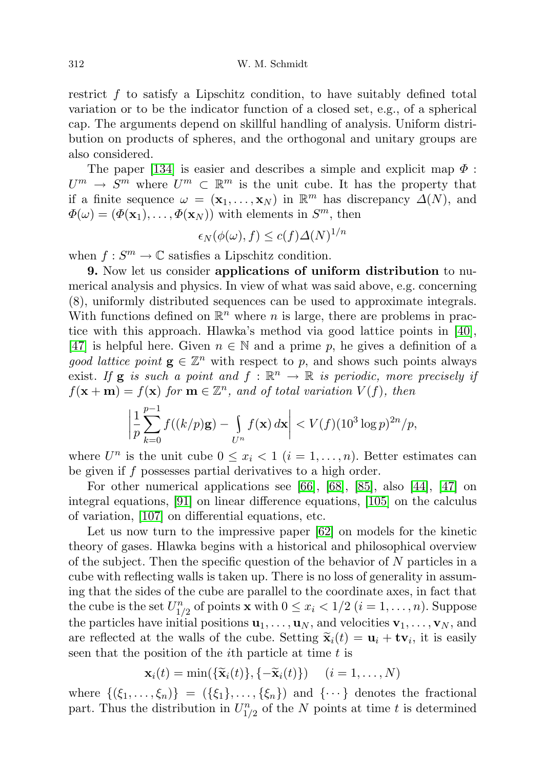restrict f to satisfy a Lipschitz condition, to have suitably defined total variation or to be the indicator function of a closed set, e.g., of a spherical cap. The arguments depend on skillful handling of analysis. Uniform distribution on products of spheres, and the orthogonal and unitary groups are also considered.

The paper [\[134\]](#page-16-3) is easier and describes a simple and explicit map  $\Phi$ :  $U^m \to S^m$  where  $U^m \subset \mathbb{R}^m$  is the unit cube. It has the property that if a finite sequence  $\omega = (\mathbf{x}_1, \dots, \mathbf{x}_N)$  in  $\mathbb{R}^m$  has discrepancy  $\Delta(N)$ , and  $\Phi(\omega) = (\Phi(\mathbf{x}_1), \dots, \Phi(\mathbf{x}_N))$  with elements in  $S^m$ , then

$$
\epsilon_N(\phi(\omega), f) \le c(f)\Delta(N)^{1/n}
$$

when  $f: S^m \to \mathbb{C}$  satisfies a Lipschitz condition.

9. Now let us consider applications of uniform distribution to numerical analysis and physics. In view of what was said above, e.g. concerning (8), uniformly distributed sequences can be used to approximate integrals. With functions defined on  $\mathbb{R}^n$  where n is large, there are problems in practice with this approach. Hlawka's method via good lattice points in [\[40\]](#page-12-4), [\[47\]](#page-12-5) is helpful here. Given  $n \in \mathbb{N}$  and a prime p, he gives a definition of a good lattice point  $\mathbf{g} \in \mathbb{Z}^n$  with respect to p, and shows such points always exist. If **g** is such a point and  $f : \mathbb{R}^n \to \mathbb{R}$  is periodic, more precisely if  $f(\mathbf{x} + \mathbf{m}) = f(\mathbf{x})$  for  $\mathbf{m} \in \mathbb{Z}^n$ , and of total variation  $V(f)$ , then

$$
\left|\frac{1}{p}\sum_{k=0}^{p-1}f((k/p)\mathbf{g})-\int_{U^n}f(\mathbf{x}) d\mathbf{x}\right| < V(f)(10^3\log p)^{2n}/p,
$$

where  $U^n$  is the unit cube  $0 \leq x_i < 1$   $(i = 1, \ldots, n)$ . Better estimates can be given if f possesses partial derivatives to a high order.

For other numerical applications see [\[66\]](#page-13-1), [\[68\]](#page-13-2), [\[85\]](#page-14-1), also [\[44\]](#page-12-6), [\[47\]](#page-12-5) on integral equations, [\[91\]](#page-14-2) on linear difference equations, [\[105\]](#page-15-2) on the calculus of variation, [\[107\]](#page-15-3) on differential equations, etc.

Let us now turn to the impressive paper [\[62\]](#page-13-3) on models for the kinetic theory of gases. Hlawka begins with a historical and philosophical overview of the subject. Then the specific question of the behavior of N particles in a cube with reflecting walls is taken up. There is no loss of generality in assuming that the sides of the cube are parallel to the coordinate axes, in fact that the cube is the set  $U_{1/2}^n$  of points **x** with  $0 \leq x_i < 1/2$   $(i = 1, \ldots, n)$ . Suppose the particles have initial positions  $\mathbf{u}_1, \ldots, \mathbf{u}_N$ , and velocities  $\mathbf{v}_1, \ldots, \mathbf{v}_N$ , and are reflected at the walls of the cube. Setting  $\tilde{\mathbf{x}}_i(t) = \mathbf{u}_i + \mathbf{t} \mathbf{v}_i$ , it is easily seen that the position of the *i*<sup>th</sup> particle at time *t* is seen that the position of the *i*th particle at time *t* is

$$
\mathbf{x}_i(t) = \min(\{\widetilde{\mathbf{x}}_i(t)\}, \{-\widetilde{\mathbf{x}}_i(t)\}) \quad (i = 1, \dots, N)
$$

where  $\{(\xi_1,\ldots,\xi_n)\} = (\{\xi_1\},\ldots,\{\xi_n\})$  and  $\{\cdots\}$  denotes the fractional part. Thus the distribution in  $U_{1/2}^n$  of the N points at time t is determined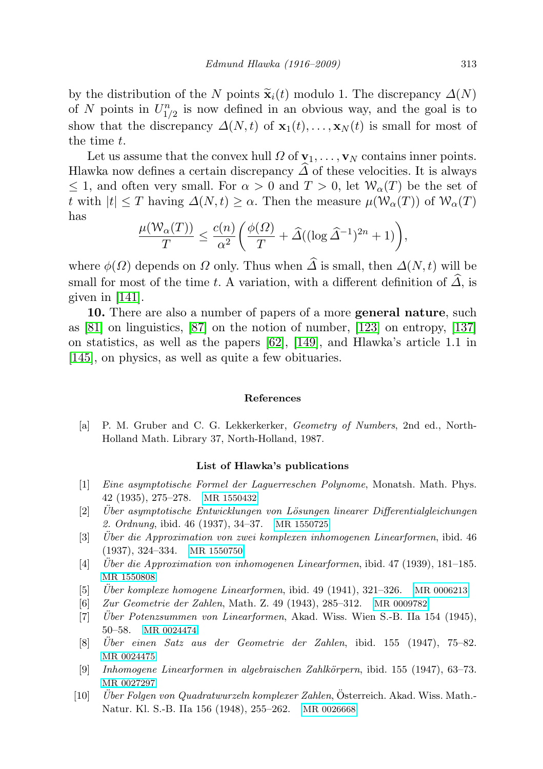by the distribution of the N points  $\tilde{\mathbf{x}}_i(t)$  modulo 1. The discrepancy  $\Delta(N)$ of N points in  $U_{1/2}^n$  is now defined in an obvious way, and the goal is to show that the discrepancy  $\Delta(N, t)$  of  $\mathbf{x}_1(t), \ldots, \mathbf{x}_N(t)$  is small for most of the time t.

Let us assume that the convex hull  $\Omega$  of  $\mathbf{v}_1, \ldots, \mathbf{v}_N$  contains inner points. Hlawka now defines a certain discrepancy  $\Delta$  of these velocities. It is always  $\leq$  1, and often very small. For  $\alpha > 0$  and  $T > 0$ , let  $\mathcal{W}_\alpha(T)$  be the set of t with  $|t| \leq T$  having  $\Delta(N, t) \geq \alpha$ . Then the measure  $\mu(\mathcal{W}_\alpha(T))$  of  $\mathcal{W}_\alpha(T)$ has

$$
\frac{\mu(\mathcal{W}_{\alpha}(T))}{T} \le \frac{c(n)}{\alpha^2} \bigg( \frac{\phi(\Omega)}{T} + \widehat{\Delta}((\log \widehat{\Delta}^{-1})^{2n} + 1) \bigg),
$$

where  $\phi(\Omega)$  depends on  $\Omega$  only. Thus when  $\widehat{\Delta}$  is small, then  $\Delta(N, t)$  will be small for most of the time t. A variation, with a different definition of  $\Delta$ , is given in [\[141\]](#page-16-4).

10. There are also a number of papers of a more general nature, such as [\[81\]](#page-13-4) on linguistics, [\[87\]](#page-14-3) on the notion of number, [\[123\]](#page-15-4) on entropy, [\[137\]](#page-16-5) on statistics, as well as the papers [\[62\]](#page-13-3), [\[149\]](#page-16-6), and Hlawka's article 1.1 in [\[145\]](#page-16-0), on physics, as well as quite a few obituaries.

## References

<span id="page-10-6"></span>[a] P. M. Gruber and C. G. Lekkerkerker, Geometry of Numbers, 2nd ed., North-Holland Math. Library 37, North-Holland, 1987.

## List of Hlawka's publications

- <span id="page-10-0"></span>[1] Eine asymptotische Formel der Laguerreschen Polynome, Monatsh. Math. Phys. 42 (1935), 275–278. [MR 1550432](http://www.ams.org/mathscinet-getitem?mr=1550432)
- <span id="page-10-1"></span> $[2]$  Uber asymptotische Entwicklungen von Lösungen linearer Differentialgleichungen 2. Ordnung, ibid. 46 (1937), 34–37. [MR 1550725](http://www.ams.org/mathscinet-getitem?mr=1550725)
- <span id="page-10-2"></span>[3] Uber die Approximation von zwei komplexen inhomogenen Linearformen, ibid. 46 (1937), 324–334. [MR 1550750](http://www.ams.org/mathscinet-getitem?mr=1550750)
- <span id="page-10-3"></span> $[4]$  Uber die Approximation von inhomogenen Linearformen, ibid. 47 (1939), 181–185. [MR 1550808](http://www.ams.org/mathscinet-getitem?mr=1550808)
- <span id="page-10-4"></span> $[5]$  Uber komplexe homogene Linearformen, ibid. 49 (1941), 321–326. [MR 0006213](http://www.ams.org/mathscinet-getitem?mr=0006213)
- <span id="page-10-5"></span>[6] Zur Geometrie der Zahlen, Math. Z. 49 (1943), 285–312. [MR 0009782](http://www.ams.org/mathscinet-getitem?mr=0009782)
- <span id="page-10-7"></span>[7] Uber Potenzsummen von Linearformen, Akad. Wiss. Wien S.-B. IIa 154 (1945), 50–58. [MR 0024474](http://www.ams.org/mathscinet-getitem?mr=0024474)
- $[8]$  Uber einen Satz aus der Geometrie der Zahlen, ibid. 155 (1947), 75–82. [MR 0024475](http://www.ams.org/mathscinet-getitem?mr=0024475)
- [9] Inhomogene Linearformen in algebraischen Zahlkörpern, ibid. 155 (1947), 63–73. [MR 0027297](http://www.ams.org/mathscinet-getitem?mr=0027297)
- $[10]$  Uber Folgen von Quadratwurzeln komplexer Zahlen, Österreich. Akad. Wiss. Math.-Natur. Kl. S.-B. IIa 156 (1948), 255–262. [MR 0026668](http://www.ams.org/mathscinet-getitem?mr=0026668)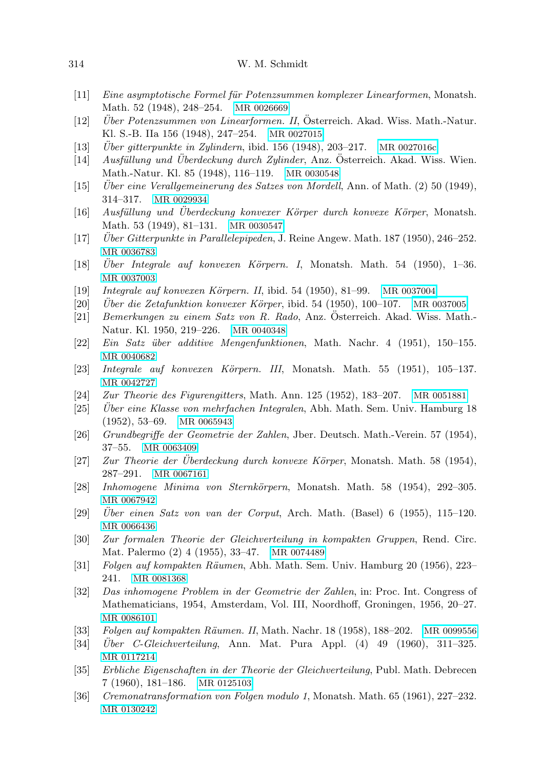| 314 | W. M. Schmidt |
|-----|---------------|
|     |               |

- [11] Eine asymptotische Formel für Potenzsummen komplexer Linearformen, Monatsh. Math. 52 (1948), 248–254. [MR 0026669](http://www.ams.org/mathscinet-getitem?mr=0026669)
- <span id="page-11-3"></span>[12] *Über Potenzsummen von Linearformen. II*, Österreich. Akad. Wiss. Math.-Natur. Kl. S.-B. IIa 156 (1948), 247–254. [MR 0027015](http://www.ams.org/mathscinet-getitem?mr=0027015)
- <span id="page-11-2"></span>[13] *Über gitterpunkte in Zylindern*, ibid. 156 (1948), 203–217. [MR 0027016c](http://www.ams.org/mathscinet-getitem?mr=0027016c)
- $[14]$  Ausfüllung und Überdeckung durch Zylinder, Anz. Österreich. Akad. Wiss. Wien. Math.-Natur. Kl. 85 (1948), 116–119. [MR 0030548](http://www.ams.org/mathscinet-getitem?mr=0030548)
- $[15]$  Uber eine Verallgemeinerung des Satzes von Mordell, Ann. of Math. (2) 50 (1949), 314–317. [MR 0029934](http://www.ams.org/mathscinet-getitem?mr=0029934)
- <span id="page-11-1"></span> $[16]$  Ausfüllung und Überdeckung konvexer Körper durch konvexe Körper, Monatsh. Math. 53 (1949), 81–131. [MR 0030547](http://www.ams.org/mathscinet-getitem?mr=0030547)
- <span id="page-11-0"></span>[17] Uber Gitterpunkte in Parallelepipeden, J. Reine Angew. Math. 187 (1950), 246–252. [MR 0036783](http://www.ams.org/mathscinet-getitem?mr=0036783)
- <span id="page-11-7"></span>[18] Uber Integrale auf konvexen Körpern. I, Monatsh. Math. 54 (1950), 1–36. [MR 0037003](http://www.ams.org/mathscinet-getitem?mr=0037003)
- <span id="page-11-8"></span>[19] Integrale auf konvexen Körpern. II, ibid. 54 (1950), 81–99. [MR 0037004](http://www.ams.org/mathscinet-getitem?mr=0037004)
- $[20]$  Uber die Zetafunktion konvexer Körper, ibid. 54 (1950), 100–107. [MR 0037005](http://www.ams.org/mathscinet-getitem?mr=0037005)
- [21] Bemerkungen zu einem Satz von R. Rado, Anz. Osterreich. Akad. Wiss. Math.- ¨ Natur. Kl. 1950, 219–226. [MR 0040348](http://www.ams.org/mathscinet-getitem?mr=0040348)
- [22] Ein Satz ¨uber additive Mengenfunktionen, Math. Nachr. 4 (1951), 150–155. [MR 0040682](http://www.ams.org/mathscinet-getitem?mr=0040682)
- <span id="page-11-9"></span>[23] Integrale auf konvexen Körpern. III, Monatsh. Math. 55 (1951), 105–137. [MR 0042727](http://www.ams.org/mathscinet-getitem?mr=0042727)
- <span id="page-11-4"></span>[24] Zur Theorie des Figurengitters, Math. Ann. 125 (1952), 183–207. [MR 0051881](http://www.ams.org/mathscinet-getitem?mr=0051881)
- <span id="page-11-10"></span>[25] Uber eine Klasse von mehrfachen Integralen, Abh. Math. Sem. Univ. Hamburg 18 (1952), 53–69. [MR 0065943](http://www.ams.org/mathscinet-getitem?mr=0065943)
- [26] Grundbegriffe der Geometrie der Zahlen, Jber. Deutsch. Math.-Verein. 57 (1954), 37–55. [MR 0063409](http://www.ams.org/mathscinet-getitem?mr=0063409)
- <span id="page-11-5"></span>[27] *Zur Theorie der Überdeckung durch konvexe Körper*, Monatsh. Math. 58 (1954), 287–291. [MR 0067161](http://www.ams.org/mathscinet-getitem?mr=0067161)
- <span id="page-11-6"></span>[28] Inhomogene Minima von Sternkörpern, Monatsh. Math. 58 (1954), 292–305. [MR 0067942](http://www.ams.org/mathscinet-getitem?mr=0067942)
- $[29]$  Uber einen Satz von van der Corput, Arch. Math. (Basel) 6 (1955), 115–120. [MR 0066436](http://www.ams.org/mathscinet-getitem?mr=0066436)
- <span id="page-11-11"></span>[30] Zur formalen Theorie der Gleichverteilung in kompakten Gruppen, Rend. Circ. Mat. Palermo (2) 4 (1955), 33–47. [MR 0074489](http://www.ams.org/mathscinet-getitem?mr=0074489)
- <span id="page-11-13"></span>[31] Folgen auf kompakten R¨aumen, Abh. Math. Sem. Univ. Hamburg 20 (1956), 223– 241. [MR 0081368](http://www.ams.org/mathscinet-getitem?mr=0081368)
- [32] Das inhomogene Problem in der Geometrie der Zahlen, in: Proc. Int. Congress of Mathematicians, 1954, Amsterdam, Vol. III, Noordhoff, Groningen, 1956, 20–27. [MR 0086101](http://www.ams.org/mathscinet-getitem?mr=0086101)
- [33] Folgen auf kompakten Räumen. II, Math. Nachr. 18 (1958), 188–202. [MR 0099556](http://www.ams.org/mathscinet-getitem?mr=0099556)
- $[34]$  *Über C-Gleichverteilung*, Ann. Mat. Pura Appl.  $(4)$  49 (1960), 311–325. [MR 0117214](http://www.ams.org/mathscinet-getitem?mr=0117214)
- <span id="page-11-12"></span>[35] Erbliche Eigenschaften in der Theorie der Gleichverteilung, Publ. Math. Debrecen 7 (1960), 181–186. [MR 0125103](http://www.ams.org/mathscinet-getitem?mr=0125103)
- [36] Cremonatransformation von Folgen modulo 1, Monatsh. Math. 65 (1961), 227–232. [MR 0130242](http://www.ams.org/mathscinet-getitem?mr=0130242)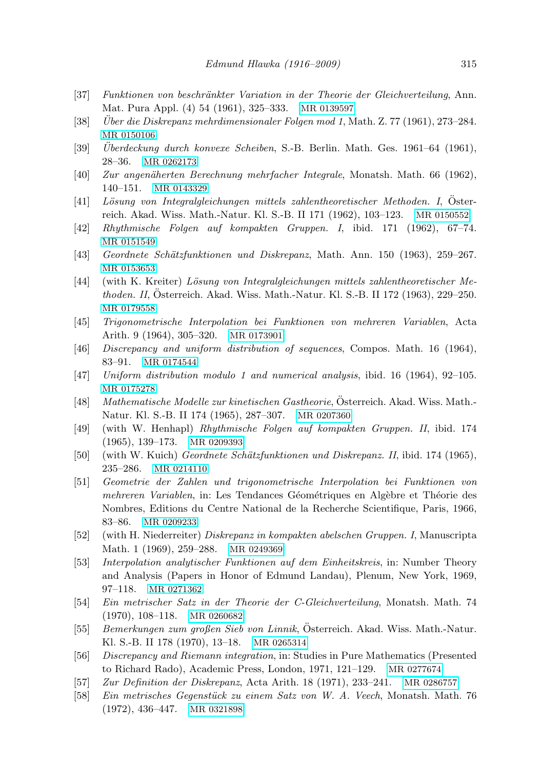- <span id="page-12-2"></span>[37] Funktionen von beschränkter Variation in der Theorie der Gleichverteilung, Ann. Mat. Pura Appl. (4) 54 (1961), 325–333. [MR 0139597](http://www.ams.org/mathscinet-getitem?mr=0139597)
- $[38]$  Uber die Diskrepanz mehrdimensionaler Folgen mod 1, Math. Z. 77 (1961), 273–284. [MR 0150106](http://www.ams.org/mathscinet-getitem?mr=0150106)
- $[39]$  Uberdeckung durch konvexe Scheiben, S.-B. Berlin. Math. Ges. 1961–64 (1961), 28–36. [MR 0262173](http://www.ams.org/mathscinet-getitem?mr=0262173)
- <span id="page-12-4"></span>[40] Zur angenäherten Berechnung mehrfacher Integrale, Monatsh. Math. 66 (1962), 140–151. [MR 0143329](http://www.ams.org/mathscinet-getitem?mr=0143329)
- [41] Lösung von Integralgleichungen mittels zahlentheoretischer Methoden. I, Osterreich. Akad. Wiss. Math.-Natur. Kl. S.-B. II 171 (1962), 103–123. [MR 0150552](http://www.ams.org/mathscinet-getitem?mr=0150552)
- <span id="page-12-0"></span>[42] Rhythmische Folgen auf kompakten Gruppen. I, ibid. 171 (1962), 67–74. [MR 0151549](http://www.ams.org/mathscinet-getitem?mr=0151549)
- [43] Geordnete Schätzfunktionen und Diskrepanz, Math. Ann. 150 (1963), 259–267. [MR 0153653](http://www.ams.org/mathscinet-getitem?mr=0153653)
- <span id="page-12-6"></span>[44] (with K. Kreiter) Lösung von Integralgleichungen mittels zahlentheoretischer Methoden. II, Osterreich. Akad. Wiss. Math.-Natur. Kl. S.-B. II 172 (1963), 229–250. ¨ [MR 0179558](http://www.ams.org/mathscinet-getitem?mr=0179558)
- [45] Trigonometrische Interpolation bei Funktionen von mehreren Variablen, Acta Arith. 9 (1964), 305–320. [MR 0173901](http://www.ams.org/mathscinet-getitem?mr=0173901)
- [46] Discrepancy and uniform distribution of sequences, Compos. Math. 16 (1964), 83–91. [MR 0174544](http://www.ams.org/mathscinet-getitem?mr=0174544)
- <span id="page-12-5"></span>[47] Uniform distribution modulo 1 and numerical analysis, ibid. 16 (1964), 92–105. [MR 0175278](http://www.ams.org/mathscinet-getitem?mr=0175278)
- [48] Mathematische Modelle zur kinetischen Gastheorie, Osterreich. Akad. Wiss. Math.- ¨ Natur. Kl. S.-B. II 174 (1965), 287–307. [MR 0207360](http://www.ams.org/mathscinet-getitem?mr=0207360)
- <span id="page-12-1"></span>[49] (with W. Henhapl) Rhythmische Folgen auf kompakten Gruppen. II, ibid. 174 (1965), 139–173. [MR 0209393](http://www.ams.org/mathscinet-getitem?mr=0209393)
- [50] (with W. Kuich) *Geordnete Schätzfunktionen und Diskrepanz. II*, ibid. 174 (1965), 235–286. [MR 0214110](http://www.ams.org/mathscinet-getitem?mr=0214110)
- [51] Geometrie der Zahlen und trigonometrische Interpolation bei Funktionen von mehreren Variablen, in: Les Tendances Géométriques en Algèbre et Théorie des Nombres, Editions du Centre National de la Recherche Scientifique, Paris, 1966, 83–86. [MR 0209233](http://www.ams.org/mathscinet-getitem?mr=0209233)
- [52] (with H. Niederreiter) Diskrepanz in kompakten abelschen Gruppen. I, Manuscripta Math. 1 (1969), 259–288. [MR 0249369](http://www.ams.org/mathscinet-getitem?mr=0249369)
- [53] Interpolation analytischer Funktionen auf dem Einheitskreis, in: Number Theory and Analysis (Papers in Honor of Edmund Landau), Plenum, New York, 1969, 97–118. [MR 0271362](http://www.ams.org/mathscinet-getitem?mr=0271362)
- [54] Ein metrischer Satz in der Theorie der C-Gleichverteilung, Monatsh. Math. 74 (1970), 108–118. [MR 0260682](http://www.ams.org/mathscinet-getitem?mr=0260682)
- [55] Bemerkungen zum großen Sieb von Linnik, Osterreich. Akad. Wiss. Math.-Natur. ¨ Kl. S.-B. II 178 (1970), 13–18. [MR 0265314](http://www.ams.org/mathscinet-getitem?mr=0265314)
- <span id="page-12-3"></span>[56] Discrepancy and Riemann integration, in: Studies in Pure Mathematics (Presented to Richard Rado), Academic Press, London, 1971, 121–129. [MR 0277674](http://www.ams.org/mathscinet-getitem?mr=0277674)
- [57] Zur Definition der Diskrepanz, Acta Arith. 18 (1971), 233–241. [MR 0286757](http://www.ams.org/mathscinet-getitem?mr=0286757)
- [58] Ein metrisches Gegenstück zu einem Satz von W. A. Veech, Monatsh. Math. 76 (1972), 436–447. [MR 0321898](http://www.ams.org/mathscinet-getitem?mr=0321898)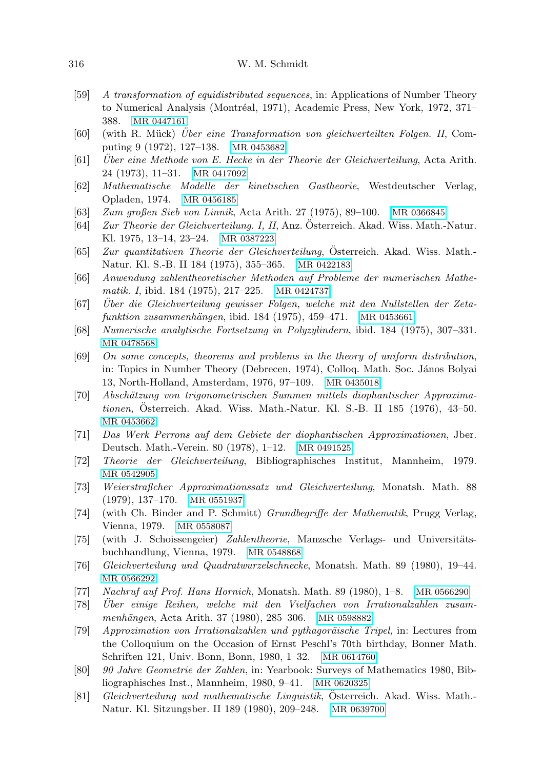## 316 W. M. Schmidt

- [59] A transformation of equidistributed sequences, in: Applications of Number Theory to Numerical Analysis (Montréal, 1971), Academic Press, New York, 1972, 371– 388. [MR 0447161](http://www.ams.org/mathscinet-getitem?mr=0447161)
- [60] (with R. Mück) Uber eine Transformation von gleichverteilten Folgen. II, Computing 9 (1972), 127–138. [MR 0453682](http://www.ams.org/mathscinet-getitem?mr=0453682)
- $[61]$  Uber eine Methode von E. Hecke in der Theorie der Gleichverteilung, Acta Arith. 24 (1973), 11–31. [MR 0417092](http://www.ams.org/mathscinet-getitem?mr=0417092)
- <span id="page-13-3"></span>[62] Mathematische Modelle der kinetischen Gastheorie, Westdeutscher Verlag, Opladen, 1974. [MR 0456185](http://www.ams.org/mathscinet-getitem?mr=0456185)
- [63] Zum großen Sieb von Linnik, Acta Arith. 27 (1975), 89–100. [MR 0366845](http://www.ams.org/mathscinet-getitem?mr=0366845)
- [64] Zur Theorie der Gleichverteilung. I, II, Anz. Osterreich. Akad. Wiss. Math.-Natur. ¨ Kl. 1975, 13–14, 23–24. [MR 0387223](http://www.ams.org/mathscinet-getitem?mr=0387223)
- [65] Zur quantitativen Theorie der Gleichverteilung, Österreich. Akad. Wiss. Math.-Natur. Kl. S.-B. II 184 (1975), 355–365. [MR 0422183](http://www.ams.org/mathscinet-getitem?mr=0422183)
- <span id="page-13-1"></span>[66] Anwendung zahlentheoretischer Methoden auf Probleme der numerischen Mathematik. I, ibid. 184 (1975), 217–225. [MR 0424737](http://www.ams.org/mathscinet-getitem?mr=0424737)
- <span id="page-13-0"></span>[67] Uber die Gleichverteilung gewisser Folgen, welche mit den Nullstellen der Zeta- ¨  $funktion zusammenhängen, ibid. 184 (1975), 459–471. MR 0453661$  $funktion zusammenhängen, ibid. 184 (1975), 459–471. MR 0453661$
- <span id="page-13-2"></span>[68] Numerische analytische Fortsetzung in Polyzylindern, ibid. 184 (1975), 307–331. [MR 0478568](http://www.ams.org/mathscinet-getitem?mr=0478568)
- [69] On some concepts, theorems and problems in the theory of uniform distribution, in: Topics in Number Theory (Debrecen, 1974), Colloq. Math. Soc. János Bolyai 13, North-Holland, Amsterdam, 1976, 97–109. [MR 0435018](http://www.ams.org/mathscinet-getitem?mr=0435018)
- [70] Absch¨atzung von trigonometrischen Summen mittels diophantischer Approximationen, Osterreich. Akad. Wiss. Math.-Natur. Kl. S.-B. II 185 (1976), 43–50. ¨ [MR 0453662](http://www.ams.org/mathscinet-getitem?mr=0453662)
- [71] Das Werk Perrons auf dem Gebiete der diophantischen Approximationen, Jber. Deutsch. Math.-Verein. 80 (1978), 1–12. [MR 0491525](http://www.ams.org/mathscinet-getitem?mr=0491525)
- [72] Theorie der Gleichverteilung, Bibliographisches Institut, Mannheim, 1979. [MR 0542905](http://www.ams.org/mathscinet-getitem?mr=0542905)
- [73] Weierstraßcher Approximationssatz und Gleichverteilung, Monatsh. Math. 88 (1979), 137–170. [MR 0551937](http://www.ams.org/mathscinet-getitem?mr=0551937)
- [74] (with Ch. Binder and P. Schmitt) Grundbegriffe der Mathematik, Prugg Verlag, Vienna, 1979. [MR 0558087](http://www.ams.org/mathscinet-getitem?mr=0558087)
- [75] (with J. Schoissengeier) Zahlentheorie, Manzsche Verlags- und Universitätsbuchhandlung, Vienna, 1979. [MR 0548868](http://www.ams.org/mathscinet-getitem?mr=0548868)
- [76] Gleichverteilung und Quadratwurzelschnecke, Monatsh. Math. 89 (1980), 19–44. [MR 0566292](http://www.ams.org/mathscinet-getitem?mr=0566292)
- [77] Nachruf auf Prof. Hans Hornich, Monatsh. Math. 89 (1980), 1–8. [MR 0566290](http://www.ams.org/mathscinet-getitem?mr=0566290)
- [78] Uber einige Reihen, welche mit den Vielfachen von Irrationalzahlen zusam- ¨ menhängen, Acta Arith. 37 (1980), 285–306. [MR 0598882](http://www.ams.org/mathscinet-getitem?mr=0598882)
- [79] Approzimation von Irrationalzahlen und pythagoräische Tripel, in: Lectures from the Colloquium on the Occasion of Ernst Peschl's 70th birthday, Bonner Math. Schriften 121, Univ. Bonn, Bonn, 1980, 1–32. [MR 0614760](http://www.ams.org/mathscinet-getitem?mr=0614760)
- [80] 90 Jahre Geometrie der Zahlen, in: Yearbook: Surveys of Mathematics 1980, Bibliographisches Inst., Mannheim, 1980, 9–41. [MR 0620325](http://www.ams.org/mathscinet-getitem?mr=0620325)
- <span id="page-13-4"></span>[81] Gleichverteilung und mathematische Linguistik, Osterreich. Akad. Wiss. Math.-Natur. Kl. Sitzungsber. II 189 (1980), 209–248. [MR 0639700](http://www.ams.org/mathscinet-getitem?mr=0639700)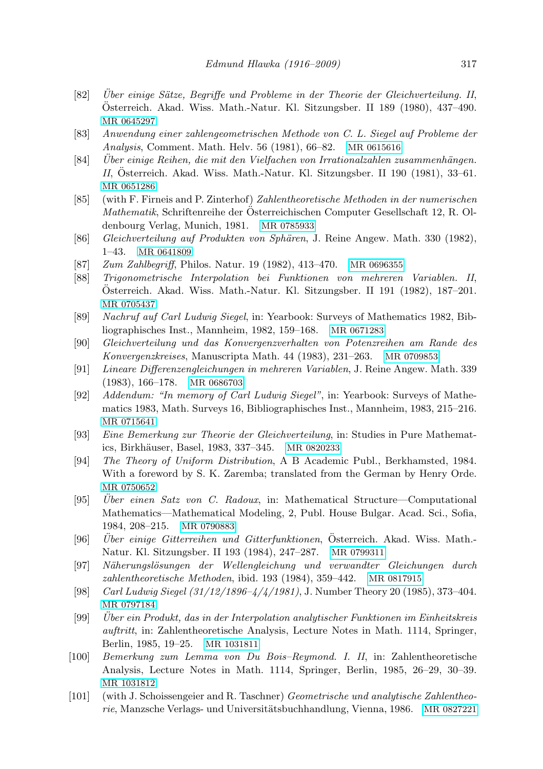- [82] Über einige Sätze, Begriffe und Probleme in der Theorie der Gleichverteilung. II, Osterreich. Akad. Wiss. Math.-Natur. Kl. Sitzungsber. II 189 (1980), 437–490. ¨ [MR 0645297](http://www.ams.org/mathscinet-getitem?mr=0645297)
- [83] Anwendung einer zahlengeometrischen Methode von C. L. Siegel auf Probleme der Analysis, Comment. Math. Helv. 56 (1981), 66–82. [MR 0615616](http://www.ams.org/mathscinet-getitem?mr=0615616)
- $[84]$  Uber einige Reihen, die mit den Vielfachen von Irrationalzahlen zusammenhängen. II, Österreich. Akad. Wiss. Math.-Natur. Kl. Sitzungsber. II 190 (1981),  $33-61$ . [MR 0651286](http://www.ams.org/mathscinet-getitem?mr=0651286)
- <span id="page-14-1"></span>[85] (with F. Firneis and P. Zinterhof) Zahlentheoretische Methoden in der numerischen Mathematik, Schriftenreihe der Osterreichischen Computer Gesellschaft 12, R. Ol- ¨ denbourg Verlag, Munich, 1981. [MR 0785933](http://www.ams.org/mathscinet-getitem?mr=0785933)
- <span id="page-14-0"></span>[86] Gleichverteilung auf Produkten von Sphären, J. Reine Angew. Math. 330 (1982), 1–43. [MR 0641809](http://www.ams.org/mathscinet-getitem?mr=0641809)
- <span id="page-14-3"></span>[87] Zum Zahlbegriff, Philos. Natur. 19 (1982), 413–470. [MR 0696355](http://www.ams.org/mathscinet-getitem?mr=0696355)
- [88] Trigonometrische Interpolation bei Funktionen von mehreren Variablen. II, Osterreich. Akad. Wiss. Math.-Natur. Kl. Sitzungsber. II 191 (1982), 187–201. ¨ [MR 0705437](http://www.ams.org/mathscinet-getitem?mr=0705437)
- [89] Nachruf auf Carl Ludwig Siegel, in: Yearbook: Surveys of Mathematics 1982, Bibliographisches Inst., Mannheim, 1982, 159–168. [MR 0671283](http://www.ams.org/mathscinet-getitem?mr=0671283)
- [90] Gleichverteilung und das Konvergenzverhalten von Potenzreihen am Rande des Konvergenzkreises, Manuscripta Math. 44 (1983), 231–263. [MR 0709853](http://www.ams.org/mathscinet-getitem?mr=0709853)
- <span id="page-14-2"></span>[91] Lineare Differenzengleichungen in mehreren Variablen, J. Reine Angew. Math. 339 (1983), 166–178. [MR 0686703](http://www.ams.org/mathscinet-getitem?mr=0686703)
- [92] Addendum: "In memory of Carl Ludwig Siegel", in: Yearbook: Surveys of Mathematics 1983, Math. Surveys 16, Bibliographisches Inst., Mannheim, 1983, 215–216. [MR 0715641](http://www.ams.org/mathscinet-getitem?mr=0715641)
- [93] Eine Bemerkung zur Theorie der Gleichverteilung, in: Studies in Pure Mathemat-ics, Birkhäuser, Basel, 1983, 337–345. [MR 0820233](http://www.ams.org/mathscinet-getitem?mr=0820233)
- [94] The Theory of Uniform Distribution, A B Academic Publ., Berkhamsted, 1984. With a foreword by S. K. Zaremba; translated from the German by Henry Orde. [MR 0750652](http://www.ams.org/mathscinet-getitem?mr=0750652)
- $[95]$  Uber einen Satz von C. Radoux, in: Mathematical Structure—Computational Mathematics—Mathematical Modeling, 2, Publ. House Bulgar. Acad. Sci., Sofia, 1984, 208–215. [MR 0790883](http://www.ams.org/mathscinet-getitem?mr=0790883)
- [96] Uber einige Gitterreihen und Gitterfunktionen, Österreich. Akad. Wiss. Math.-Natur. Kl. Sitzungsber. II 193 (1984), 247–287. [MR 0799311](http://www.ams.org/mathscinet-getitem?mr=0799311)
- [97] N¨aherungsl¨osungen der Wellengleichung und verwandter Gleichungen durch zahlentheoretische Methoden, ibid. 193 (1984), 359–442. [MR 0817915](http://www.ams.org/mathscinet-getitem?mr=0817915)
- [98] Carl Ludwig Siegel (31/12/1896–4/4/1981), J. Number Theory 20 (1985), 373–404. [MR 0797184](http://www.ams.org/mathscinet-getitem?mr=0797184)
- [99] Uber ein Produkt, das in der Interpolation analytischer Funktionen im Einheitskreis ¨ auftritt, in: Zahlentheoretische Analysis, Lecture Notes in Math. 1114, Springer, Berlin, 1985, 19–25. [MR 1031811](http://www.ams.org/mathscinet-getitem?mr=1031811)
- [100] Bemerkung zum Lemma von Du Bois–Reymond. I. II, in: Zahlentheoretische Analysis, Lecture Notes in Math. 1114, Springer, Berlin, 1985, 26–29, 30–39. [MR 1031812](http://www.ams.org/mathscinet-getitem?mr=1031812)
- [101] (with J. Schoissengeier and R. Taschner) Geometrische und analytische Zahlentheo-rie, Manzsche Verlags- und Universitätsbuchhandlung, Vienna, 1986. [MR 0827221](http://www.ams.org/mathscinet-getitem?mr=0827221)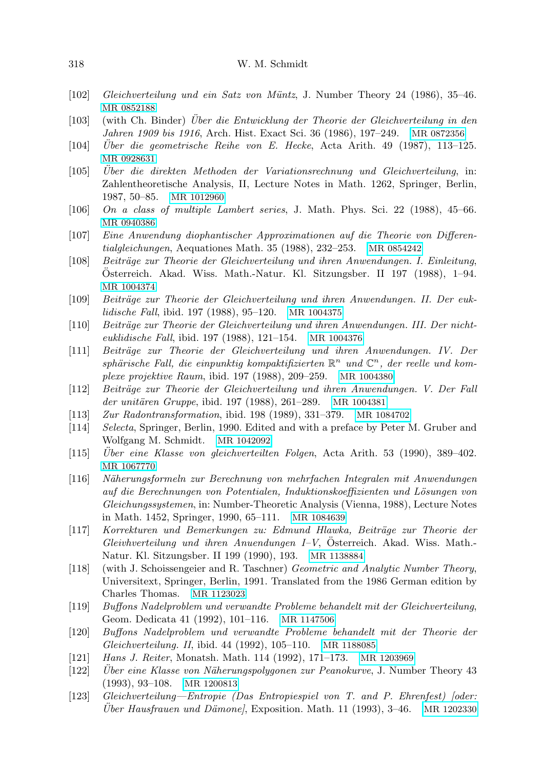- [102] Gleichverteilung und ein Satz von Müntz, J. Number Theory 24 (1986), 35–46. [MR 0852188](http://www.ams.org/mathscinet-getitem?mr=0852188)
- [103] (with Ch. Binder) Uber die Entwicklung der Theorie der Gleichverteilung in den ¨ Jahren 1909 bis 1916, Arch. Hist. Exact Sci. 36 (1986), 197–249. [MR 0872356](http://www.ams.org/mathscinet-getitem?mr=0872356)
- $[104]$  Uber die geometrische Reihe von E. Hecke, Acta Arith. 49 (1987), 113–125. [MR 0928631](http://www.ams.org/mathscinet-getitem?mr=0928631)
- <span id="page-15-2"></span>[105] Uber die direkten Methoden der Variationsrechnung und Gleichverteilung, in: Zahlentheoretische Analysis, II, Lecture Notes in Math. 1262, Springer, Berlin, 1987, 50–85. [MR 1012960](http://www.ams.org/mathscinet-getitem?mr=1012960)
- [106] On a class of multiple Lambert series, J. Math. Phys. Sci. 22 (1988), 45–66. [MR 0940386](http://www.ams.org/mathscinet-getitem?mr=0940386)
- <span id="page-15-3"></span>[107] Eine Anwendung diophantischer Approximationen auf die Theorie von Differentialgleichungen, Aequationes Math. 35 (1988), 232–253. [MR 0854242](http://www.ams.org/mathscinet-getitem?mr=0854242)
- [108] Beiträge zur Theorie der Gleichverteilung und ihren Anwendungen. I. Einleitung, Osterreich. Akad. Wiss. Math.-Natur. Kl. Sitzungsber. II 197 (1988), 1–94. ¨ [MR 1004374](http://www.ams.org/mathscinet-getitem?mr=1004374)
- [109] Beiträge zur Theorie der Gleichverteilung und ihren Anwendungen. II. Der euklidische Fall, ibid. 197 (1988), 95–120. [MR 1004375](http://www.ams.org/mathscinet-getitem?mr=1004375)
- [110] Beiträge zur Theorie der Gleichverteilung und ihren Anwendungen. III. Der nichteuklidische Fall, ibid. 197 (1988), 121–154. [MR 1004376](http://www.ams.org/mathscinet-getitem?mr=1004376)
- <span id="page-15-1"></span>[111] Beiträge zur Theorie der Gleichverteilung und ihren Anwendungen. IV. Der sphärische Fall, die einpunktig kompaktifizierten  $\mathbb{R}^n$  und  $\mathbb{C}^n$ , der reelle und komplexe projektive Raum, ibid. 197 (1988), 209–259. [MR 1004380](http://www.ams.org/mathscinet-getitem?mr=1004380)
- [112] Beiträge zur Theorie der Gleichverteilung und ihren Anwendungen. V. Der Fall der unitären Gruppe, ibid. 197 (1988), 261–289. [MR 1004381](http://www.ams.org/mathscinet-getitem?mr=1004381)
- [113] Zur Radontransformation, ibid. 198 (1989), 331–379. [MR 1084702](http://www.ams.org/mathscinet-getitem?mr=1084702)
- <span id="page-15-0"></span>[114] Selecta, Springer, Berlin, 1990. Edited and with a preface by Peter M. Gruber and Wolfgang M. Schmidt. [MR 1042092](http://www.ams.org/mathscinet-getitem?mr=1042092)
- $[115]$  Über eine Klasse von gleichverteilten Folgen, Acta Arith. 53 (1990), 389–402. [MR 1067770](http://www.ams.org/mathscinet-getitem?mr=1067770)
- [116] N¨aherungsformeln zur Berechnung von mehrfachen Integralen mit Anwendungen auf die Berechnungen von Potentialen, Induktionskoeffizienten und Lösungen von Gleichungssystemen, in: Number-Theoretic Analysis (Vienna, 1988), Lecture Notes in Math. 1452, Springer, 1990, 65–111. [MR 1084639](http://www.ams.org/mathscinet-getitem?mr=1084639)
- [117] Korrekturen und Bemerkungen zu: Edmund Hlawka, Beitr¨age zur Theorie der  $Gleivhverteilung und ihren Anuendungen I-V, Österreich. Akad. Wiss. Math.–$ Natur. Kl. Sitzungsber. II 199 (1990), 193. [MR 1138884](http://www.ams.org/mathscinet-getitem?mr=1138884)
- [118] (with J. Schoissengeier and R. Taschner) Geometric and Analytic Number Theory, Universitext, Springer, Berlin, 1991. Translated from the 1986 German edition by Charles Thomas. [MR 1123023](http://www.ams.org/mathscinet-getitem?mr=1123023)
- [119] Buffons Nadelproblem und verwandte Probleme behandelt mit der Gleichverteilung, Geom. Dedicata 41 (1992), 101–116. [MR 1147506](http://www.ams.org/mathscinet-getitem?mr=1147506)
- [120] Buffons Nadelproblem und verwandte Probleme behandelt mit der Theorie der Gleichverteilung. II, ibid. 44 (1992), 105–110. [MR 1188085](http://www.ams.org/mathscinet-getitem?mr=1188085)
- [121] Hans J. Reiter, Monatsh. Math. 114 (1992), 171–173. [MR 1203969](http://www.ams.org/mathscinet-getitem?mr=1203969)
- [122] Uber eine Klasse von Näherungspolygonen zur Peanokurve, J. Number Theory 43 (1993), 93–108. [MR 1200813](http://www.ams.org/mathscinet-getitem?mr=1200813)
- <span id="page-15-4"></span>[123] Gleichverteilung—Entropie (Das Entropiespiel von T. and P. Ehrenfest) [oder:  $Über Hausfrauen und Dämone, Exposition. Math. 11 (1993), 3–46. MR 1202330$  $Über Hausfrauen und Dämone, Exposition. Math. 11 (1993), 3–46. MR 1202330$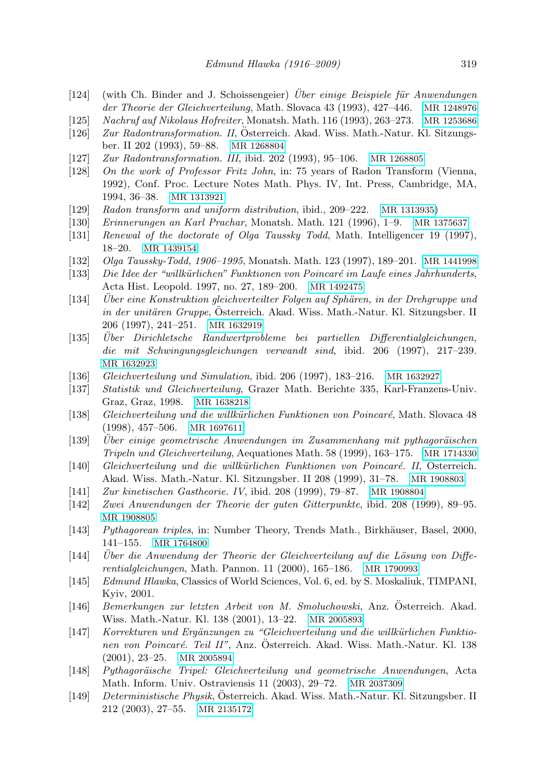- $[124]$  (with Ch. Binder and J. Schoissengeier) *Über einige Beispiele für Anwendungen* der Theorie der Gleichverteilung, Math. Slovaca 43 (1993), 427–446. [MR 1248976](http://www.ams.org/mathscinet-getitem?mr=1248976)
- [125] Nachruf auf Nikolaus Hofreiter, Monatsh. Math. 116 (1993), 263–273. [MR 1253686](http://www.ams.org/mathscinet-getitem?mr=1253686)
- [126] Zur Radontransformation. II, Osterreich. Akad. Wiss. Math.-Natur. Kl. Sitzungsber. II 202 (1993), 59–88. [MR 1268804](http://www.ams.org/mathscinet-getitem?mr=1268804)
- [127] Zur Radontransformation. III, ibid. 202 (1993), 95–106. [MR 1268805](http://www.ams.org/mathscinet-getitem?mr=1268805)
- [128] On the work of Professor Fritz John, in: 75 years of Radon Transform (Vienna, 1992), Conf. Proc. Lecture Notes Math. Phys. IV, Int. Press, Cambridge, MA, 1994, 36–38. [MR 1313921](http://www.ams.org/mathscinet-getitem?mr=1313921)
- [129] Radon transform and uniform distribution, ibid., 209–222. [MR 1313935](http://www.ams.org/mathscinet-getitem?mr=1313935))
- [130] Erinnerungen an Karl Prachar, Monatsh. Math. 121 (1996), 1–9. [MR 1375637](http://www.ams.org/mathscinet-getitem?mr=1375637)
- [131] Renewal of the doctorate of Olga Taussky Todd, Math. Intelligencer 19 (1997), 18–20. [MR 1439154](http://www.ams.org/mathscinet-getitem?mr=1439154)
- [132] Olga Taussky-Todd, 1906–1995, Monatsh. Math. 123 (1997), 189–201. [MR 1441998](http://www.ams.org/mathscinet-getitem?mr=1441998)
- [133] Die Idee der "willkürlichen" Funktionen von Poincaré im Laufe eines Jahrhunderts, Acta Hist. Leopold. 1997, no. 27, 189–200. [MR 1492475](http://www.ams.org/mathscinet-getitem?mr=1492475)
- <span id="page-16-3"></span>[134] Uber eine Konstruktion gleichverteilter Folgen auf Sphären, in der Drehgruppe und  $in \ der \ unitären \ Gruppe$ , Österreich. Akad. Wiss. Math.-Natur. Kl. Sitzungsber. II 206 (1997), 241–251. [MR 1632919](http://www.ams.org/mathscinet-getitem?mr=1632919)
- $[135]$  Über Dirichletsche Randwertprobleme bei partiellen Differentialgleichungen, die mit Schwingungsgleichungen verwandt sind, ibid. 206 (1997), 217–239. [MR 1632923](http://www.ams.org/mathscinet-getitem?mr=1632923)
- [136] Gleichverteilung und Simulation, ibid. 206 (1997), 183–216. [MR 1632927](http://www.ams.org/mathscinet-getitem?mr=1632927)
- <span id="page-16-5"></span>[137] Statistik und Gleichverteilung, Grazer Math. Berichte 335, Karl-Franzens-Univ. Graz, Graz, 1998. [MR 1638218](http://www.ams.org/mathscinet-getitem?mr=1638218)
- [138] Gleichverteilung und die willkürlichen Funktionen von Poincaré, Math. Slovaca 48 (1998), 457–506. [MR 1697611](http://www.ams.org/mathscinet-getitem?mr=1697611)
- $[139]$  Uber einige geometrische Anwendungen im Zusammenhang mit pythagoräischen Tripeln und Gleichverteilung, Aequationes Math. 58 (1999), 163–175. [MR 1714330](http://www.ams.org/mathscinet-getitem?mr=1714330)
- [140] Gleichverteilung und die willkürlichen Funktionen von Poincaré. II, Österreich. Akad. Wiss. Math.-Natur. Kl. Sitzungsber. II 208 (1999), 31–78. [MR 1908803](http://www.ams.org/mathscinet-getitem?mr=1908803)
- <span id="page-16-4"></span>[141] Zur kinetischen Gastheorie. IV, ibid. 208 (1999), 79–87. [MR 1908804](http://www.ams.org/mathscinet-getitem?mr=1908804)
- [142] Zwei Anwendungen der Theorie der guten Gitterpunkte, ibid. 208 (1999), 89–95. [MR 1908805](http://www.ams.org/mathscinet-getitem?mr=1908805)
- <span id="page-16-1"></span>[143] Pythagorean triples, in: Number Theory, Trends Math., Birkhäuser, Basel, 2000, 141–155. [MR 1764800](http://www.ams.org/mathscinet-getitem?mr=1764800)
- $[144]$  Uber die Anwendung der Theorie der Gleichverteilung auf die Lösung von Differentialgleichungen, Math. Pannon. 11 (2000), 165–186. [MR 1790993](http://www.ams.org/mathscinet-getitem?mr=1790993)
- <span id="page-16-0"></span>[145] Edmund Hlawka, Classics of World Sciences, Vol. 6, ed. by S. Moskaliuk, TIMPANI, Kyiv, 2001.
- [146] Bemerkungen zur letzten Arbeit von M. Smoluchowski, Anz. Osterreich. Akad. ¨ Wiss. Math.-Natur. Kl. 138 (2001), 13–22. [MR 2005893](http://www.ams.org/mathscinet-getitem?mr=2005893)
- [147] Korrekturen und Ergänzungen zu "Gleichverteilung und die willkürlichen Funktionen von Poincaré. Teil II", Anz. Österreich. Akad. Wiss. Math.-Natur. Kl. 138 (2001), 23–25. [MR 2005894](http://www.ams.org/mathscinet-getitem?mr=2005894)
- <span id="page-16-2"></span>[148] Pythagoräische Tripel: Gleichverteilung und geometrische Anwendungen, Acta Math. Inform. Univ. Ostraviensis 11 (2003), 29–72. [MR 2037309](http://www.ams.org/mathscinet-getitem?mr=2037309)
- <span id="page-16-6"></span>[149] Deterministische Physik, Osterreich. Akad. Wiss. Math.-Natur. Kl. Sitzungsber. II ¨ 212 (2003), 27–55. [MR 2135172](http://www.ams.org/mathscinet-getitem?mr=2135172)